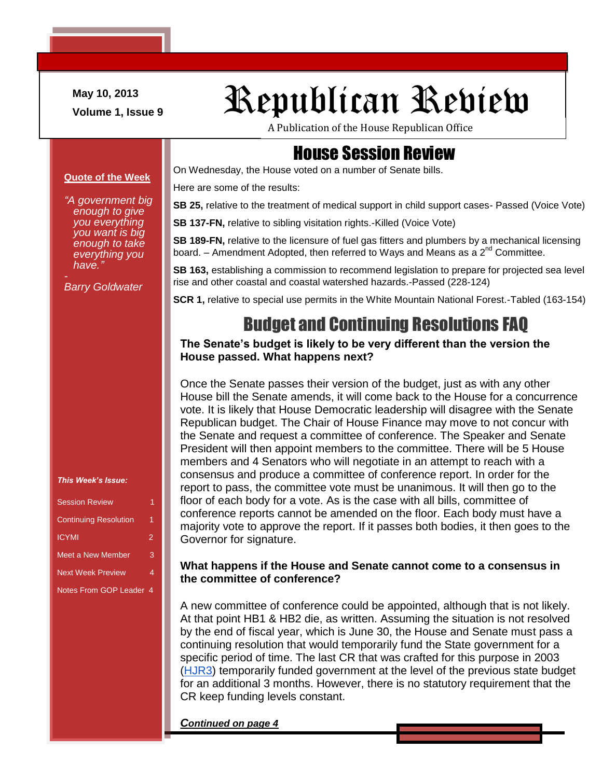**May 10, 2013**

# May 10, 2013<br>Volume 1, Issue 9 Republican Review

A Publication of the House Republican Office

#### House Session Review

On Wednesday, the House voted on a number of Senate bills.

Here are some of the results:

**SB 25,** relative to the treatment of medical support in child support cases- Passed (Voice Vote)

**SB 137-FN, relative to sibling visitation rights.-Killed (Voice Vote)** 

**SB 189-FN,** relative to the licensure of fuel gas fitters and plumbers by a mechanical licensing board. – Amendment Adopted, then referred to Ways and Means as a  $2^{nd}$  Committee.

**SB 163,** establishing a commission to recommend legislation to prepare for projected sea level rise and other coastal and coastal watershed hazards.-Passed (228-124)

**SCR 1,** relative to special use permits in the White Mountain National Forest.-Tabled (163-154)

#### Budget and Continuing Resolutions FAQ

#### **The Senate's budget is likely to be very different than the version the House passed. What happens next?**

Once the Senate passes their version of the budget, just as with any other House bill the Senate amends, it will come back to the House for a concurrence vote. It is likely that House Democratic leadership will disagree with the Senate Republican budget. The Chair of House Finance may move to not concur with the Senate and request a committee of conference. The Speaker and Senate President will then appoint members to the committee. There will be 5 House members and 4 Senators who will negotiate in an attempt to reach with a consensus and produce a committee of conference report. In order for the report to pass, the committee vote must be unanimous. It will then go to the floor of each body for a vote. As is the case with all bills, committee of conference reports cannot be amended on the floor. Each body must have a majority vote to approve the report. If it passes both bodies, it then goes to the Governor for signature.

#### **What happens if the House and Senate cannot come to a consensus in the committee of conference?**

A new committee of conference could be appointed, although that is not likely. At that point HB1 & HB2 die, as written. Assuming the situation is not resolved by the end of fiscal year, which is June 30, the House and Senate must pass a continuing resolution that would temporarily fund the State government for a specific period of time. The last CR that was crafted for this purpose in 2003 [\(HJR3\)](http://www.gencourt.state.nh.us/legislation/2003/HJR0003.html) temporarily funded government at the level of the previous state budget for an additional 3 months. However, there is no statutory requirement that the CR keep funding levels constant.

*Continued on page 4*

**Quote of the Week**

*"A government big enough to give you everything you want is big enough to take everything you have."*

*Barry Goldwater*

*This Week's Issue:*

| <b>Session Review</b>        |                |
|------------------------------|----------------|
| <b>Continuing Resolution</b> | 1              |
| <b>ICYMI</b>                 | $\overline{2}$ |
| <b>Meet a New Member</b>     | 3              |
| <b>Next Week Preview</b>     | 4              |
| Notes From GOP Leader 4      |                |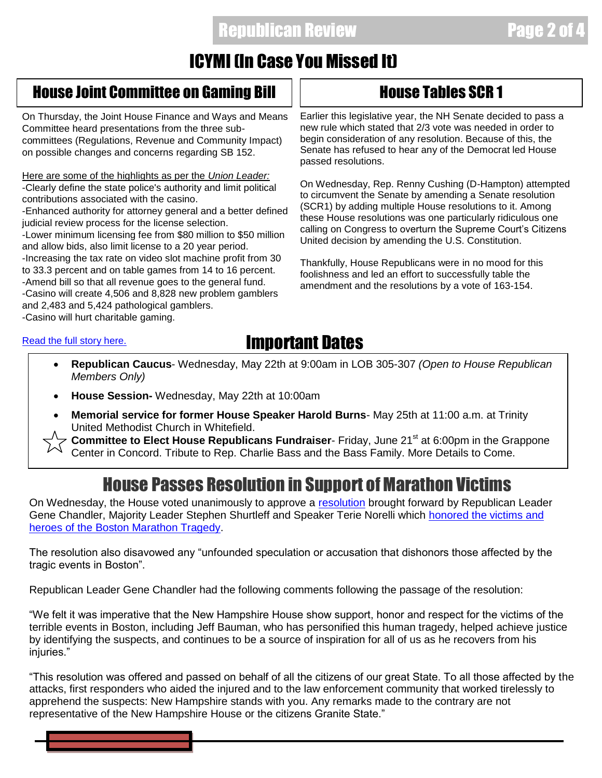#### **Republican Review Page 2**

## ICYMI (In Case You Missed It)

#### House Joint Committee on Gaming Bill House Tables SCR 1

On Thursday, the Joint House Finance and Ways and Means Committee heard presentations from the three subcommittees (Regulations, Revenue and Community Impact) on possible changes and concerns regarding SB 152.

Here are some of the highlights as per the *Union Leader:* -Clearly define the state police's authority and limit political contributions associated with the casino.

-Enhanced authority for attorney general and a better defined judicial review process for the license selection.

-Lower minimum licensing fee from \$80 million to \$50 million and allow bids, also limit license to a 20 year period.

-Increasing the tax rate on video slot machine profit from 30 to 33.3 percent and on table games from 14 to 16 percent. -Amend bill so that all revenue goes to the general fund. -Casino will create 4,506 and 8,828 new problem gamblers and 2,483 and 5,424 pathological gamblers. -Casino will hurt charitable gaming.

Earlier this legislative year, the NH Senate decided to pass a new rule which stated that 2/3 vote was needed in order to begin consideration of any resolution. Because of this, the Senate has refused to hear any of the Democrat led House passed resolutions.

On Wednesday, Rep. Renny Cushing (D-Hampton) attempted to circumvent the Senate by amending a Senate resolution (SCR1) by adding multiple House resolutions to it. Among these House resolutions was one particularly ridiculous one calling on Congress to overturn the Supreme Court's Citizens United decision by amending the U.S. Constitution.

Thankfully, House Republicans were in no mood for this foolishness and led an effort to successfully table the amendment and the resolutions by a vote of 163-154.

#### [Read the full story here.](http://www.unionleader.com/article/20130509/NEWS06/130519999)

Ī

### Important Dates

- **Republican Caucus** Wednesday, May 22th at 9:00am in LOB 305-307 *(Open to House Republican Members Only)*
- **House Session-** Wednesday, May 22th at 10:00am
- **Memorial service for former House Speaker Harold Burns** May 25th at 11:00 a.m. at Trinity United Methodist Church in Whitefield.

**Committee to Elect House Republicans Fundraiser**- Friday, June 21<sup>st</sup> at 6:00pm in the Grappone Center in Concord. Tribute to Rep. Charlie Bass and the Bass Family. More Details to Come.

### House Passes Resolution in Support of Marathon Victims

On Wednesday, the House voted unanimously to approve a [resolution](http://www.gencourt.state.nh.us/legislation/2013/HR0009.html) brought forward by Republican Leader Gene Chandler, Majority Leader Stephen Shurtleff and Speaker Terie Norelli which [honored the victims and](http://www.eagletribune.com/newhampshire/x1169349893/N-H-House-vote-supports-marathon-victims)  [heroes of the Boston Marathon Tragedy.](http://www.eagletribune.com/newhampshire/x1169349893/N-H-House-vote-supports-marathon-victims)

The resolution also disavowed any "unfounded speculation or accusation that dishonors those affected by the tragic events in Boston".

Republican Leader Gene Chandler had the following comments following the passage of the resolution:

"We felt it was imperative that the New Hampshire House show support, honor and respect for the victims of the terrible events in Boston, including Jeff Bauman, who has personified this human tragedy, helped achieve justice by identifying the suspects, and continues to be a source of inspiration for all of us as he recovers from his iniuries."

"This resolution was offered and passed on behalf of all the citizens of our great State. To all those affected by the attacks, first responders who aided the injured and to the law enforcement community that worked tirelessly to apprehend the suspects: New Hampshire stands with you. Any remarks made to the contrary are not representative of the New Hampshire House or the citizens Granite State."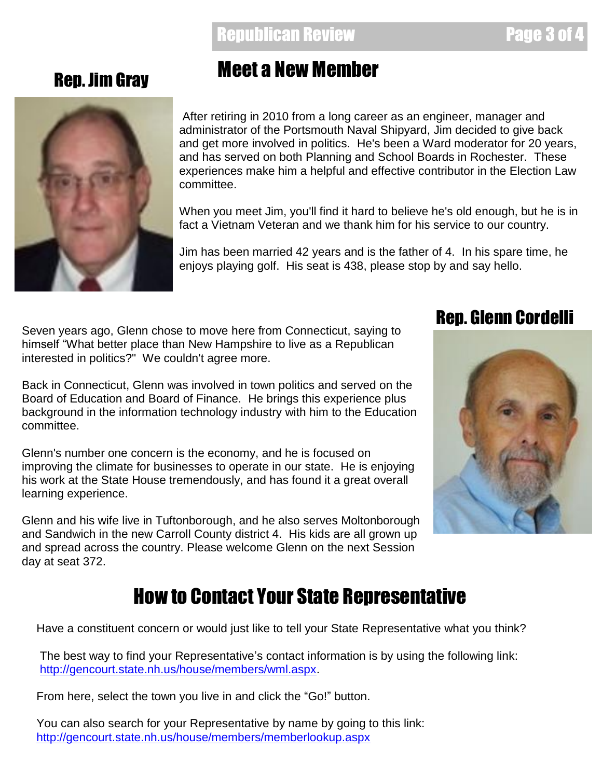#### **Republican Review Page 3**



# Rep. Jim Gray Meet a New Member

After retiring in 2010 from a long career as an engineer, manager and administrator of the Portsmouth Naval Shipyard, Jim decided to give back and get more involved in politics. He's been a Ward moderator for 20 years, and has served on both Planning and School Boards in Rochester. These experiences make him a helpful and effective contributor in the Election Law committee.

When you meet Jim, you'll find it hard to believe he's old enough, but he is in fact a Vietnam Veteran and we thank him for his service to our country.

Jim has been married 42 years and is the father of 4. In his spare time, he enjoys playing golf. His seat is 438, please stop by and say hello.

Seven years ago, Glenn chose to move here from Connecticut, saying to himself "What better place than New Hampshire to live as a Republican interested in politics?" We couldn't agree more.

Back in Connecticut, Glenn was involved in town politics and served on the Board of Education and Board of Finance. He brings this experience plus background in the information technology industry with him to the Education committee.

his work at the State House tremendously, and has found it a great overall Glenn's number one concern is the economy, and he is focused on improving the climate for businesses to operate in our state. He is enjoying learning experience.

Glenn and his wife live in Tuftonborough, and he also serves Moltonborough and Sandwich in the new Carroll County district 4. His kids are all grown up and spread across the country. Please welcome Glenn on the next Session day at seat 372.

#### Rep. Glenn Cordelli



# How to Contact Your State Representative

Have a constituent concern or would just like to tell your State Representative what you think?

The best way to find your Representative's contact information is by using the following link: [http://gencourt.state.nh.us/house/members/wml.aspx.](http://gencourt.state.nh.us/house/members/wml.aspx)

From here, select the town you live in and click the "Go!" button.

You can also search for your Representative by name by going to this link: <http://gencourt.state.nh.us/house/members/memberlookup.aspx>